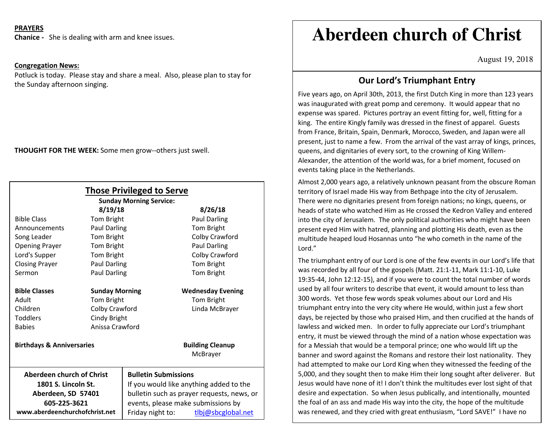## **PRAYERS**

**Chanice -** She is dealing with arm and knee issues.

## **Congregation News:**

Potluck is today. Please stay and share a meal. Also, please plan to stay for the Sunday afternoon singing.

**THOUGHT FOR THE WEEK:** Some men grow--others just swell.

| <b>Those Privileged to Serve</b>                                                       |                       |                                                                                                                                                            |                                     |
|----------------------------------------------------------------------------------------|-----------------------|------------------------------------------------------------------------------------------------------------------------------------------------------------|-------------------------------------|
| <b>Sunday Morning Service:</b>                                                         |                       |                                                                                                                                                            |                                     |
|                                                                                        | 8/19/18               |                                                                                                                                                            | 8/26/18                             |
| <b>Bible Class</b>                                                                     | Tom Bright            |                                                                                                                                                            | Paul Darling                        |
| Announcements                                                                          | <b>Paul Darling</b>   |                                                                                                                                                            | Tom Bright                          |
| Song Leader                                                                            | <b>Tom Bright</b>     |                                                                                                                                                            | Colby Crawford                      |
| <b>Opening Prayer</b>                                                                  | Tom Bright            |                                                                                                                                                            | Paul Darling                        |
| Lord's Supper                                                                          | Tom Bright            |                                                                                                                                                            | Colby Crawford                      |
| <b>Closing Prayer</b>                                                                  | <b>Paul Darling</b>   |                                                                                                                                                            | Tom Bright                          |
| Sermon                                                                                 | <b>Paul Darling</b>   |                                                                                                                                                            | Tom Bright                          |
| <b>Bible Classes</b>                                                                   | <b>Sunday Morning</b> |                                                                                                                                                            | <b>Wednesday Evening</b>            |
| Adult                                                                                  | Tom Bright            |                                                                                                                                                            | Tom Bright                          |
| Children                                                                               | Colby Crawford        |                                                                                                                                                            | Linda McBrayer                      |
| <b>Toddlers</b>                                                                        | Cindy Bright          |                                                                                                                                                            |                                     |
| <b>Babies</b>                                                                          | Anissa Crawford       |                                                                                                                                                            |                                     |
| <b>Birthdays &amp; Anniversaries</b>                                                   |                       |                                                                                                                                                            | <b>Building Cleanup</b><br>McBrayer |
| Aberdeen church of Christ<br>1801 S. Lincoln St.<br>Aberdeen, SD 57401<br>605-225-3621 |                       | <b>Bulletin Submissions</b><br>If you would like anything added to the<br>bulletin such as prayer requests, news, or<br>events, please make submissions by |                                     |
| www.aberdeenchurchofchrist.net                                                         |                       | Friday night to:                                                                                                                                           | tlbj@sbcglobal.net                  |

# **Aberdeen church of Christ**

August 19, 2018

with the control of the control of the control of the control of the control of the control of the control of <br>And the control of the control of the control of the control of the control of the control of the control of t

## **Our Lord's Triumphant Entry**

Five years ago, on April 30th, 2013, the first Dutch King in more than 123 years was inaugurated with great pomp and ceremony. It would appear that no expense was spared. Pictures portray an event fitting for, well, fitting for a king. The entire Kingly family was dressed in the finest of apparel. Guests from France, Britain, Spain, Denmark, Morocco, Sweden, and Japan were all present, just to name a few. From the arrival of the vast array of kings, princes, queens, and dignitaries of every sort, to the crowning of King Willem-Alexander, the attention of the world was, for a brief moment, focused on events taking place in the Netherlands.

Almost 2,000 years ago, a relatively unknown peasant from the obscure Roman territory of Israel made His way from Bethpage into the city of Jerusalem. There were no dignitaries present from foreign nations; no kings, queens, or heads of state who watched Him as He crossed the Kedron Valley and entered into the city of Jerusalem. The only political authorities who might have been present eyed Him with hatred, planning and plotting His death, even as the multitude heaped loud Hosannas unto "he who cometh in the name of the Lord."

The triumphant entry of our Lord is one of the few events in our Lord's life that was recorded by all four of the gospels (Matt. 21:1-11, Mark 11:1-10, Luke 19:35-44, John 12:12-15), and if you were to count the total number of words used by all four writers to describe that event, it would amount to less than 300 words. Yet those few words speak volumes about our Lord and His triumphant entry into the very city where He would, within just a few short days, be rejected by those who praised Him, and then crucified at the hands of lawless and wicked men. In order to fully appreciate our Lord's triumphant entry, it must be viewed through the mind of a nation whose expectation was for a Messiah that would be a temporal prince; one who would lift up the banner and sword against the Romans and restore their lost nationality. They had attempted to make our Lord King when they witnessed the feeding of the 5,000, and they sought then to make Him their long sought after deliverer. But Jesus would have none of it! I don't think the multitudes ever lost sight of that desire and expectation. So when Jesus publically, and intentionally, mounted the foal of an ass and made His way into the city, the hope of the multitude was renewed, and they cried with great enthusiasm, "Lord SAVE!" I have no

doubt that at that moment many had faith in Jesus as a deliverer, but not